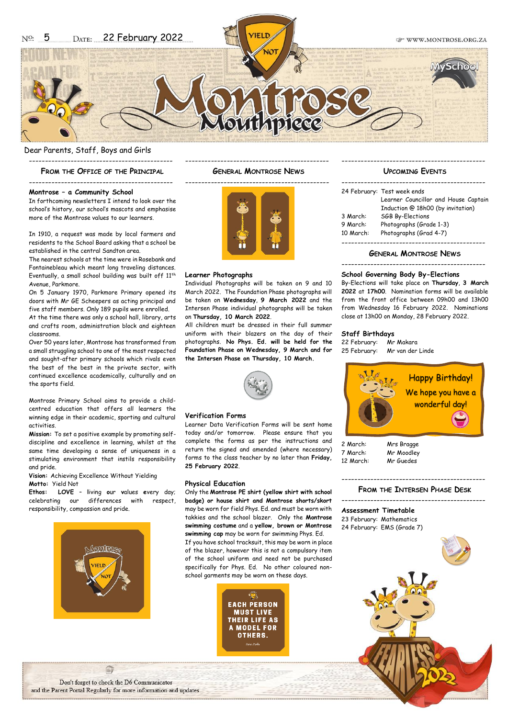**CP WWW MONTROSE ORG ZA** 

Dear Parents, Staff, Boys and Girls

--------------------------------------------- **FROM THE OFFICE OF THE PRINCIPAL**

---------------------------------------------

**Montrose – a Community School**

In forthcoming newsletters I intend to look over the school's history, our school's mascots and emphasise more of the Montrose values to our learners.

In 1910, a request was made by local farmers and residents to the School Board asking that a school be established in the central Sandton area.

The nearest schools at the time were in Rosebank and Fontainebleau which meant long traveling distances. Eventually, a small school building was built off 11<sup>th</sup> Avenue, Parkmore.

On 5 January 1970, Parkmore Primary opened its doors with Mr GE Scheepers as acting principal and five staff members. Only 189 pupils were enrolled.

At the time there was only a school hall, library, arts and crafts room, administration block and eighteen classrooms.

Over 50 years later, Montrose has transformed from a small struggling school to one of the most respected and sought-after primary schools which rivals even the best of the best in the private sector, with continued excellence academically, culturally and on the sports field.

Montrose Primary School aims to provide a childcentred education that offers all learners the winning edge in their academic, sporting and cultural activities.

**Mission:** To set a positive example by promoting selfdiscipline and excellence in learning, whilst at the same time developing a sense of uniqueness in a stimulating environment that instils responsibility and pride.

**Vision:** Achieving Excellence Without Yielding **Motto:** Yield Not

**Ethos: LOVE** – **l**iving **o**ur **v**alues **e**very day; celebrating our differences with respect, responsibility, compassion and pride.



--------------------------------------------- **GENERAL MONTROSE NEWS**



#### **Learner Photographs**

Individual Photographs will be taken on 9 and 10 March 2022. The Foundation Phase photographs will be taken on **Wednesday**, **9 March 2022** and the Intersen Phase individual photographs will be taken on **Thursday, 10 March 2022**.

All children must be dressed in their full summer uniform with their blazers on the day of their photographs. **No Phys. Ed. will be held for the Foundation Phase on Wednesday, 9 March and for the Intersen Phase on Thursday, 10 March.**



#### **Verification Forms**

Learner Data Verification Forms will be sent home today and/or tomorrow. Please ensure that you complete the forms as per the instructions and return the signed and amended (where necessary) forms to the class teacher by no later than **Friday, 25 February 2022**.

#### **Physical Education**

Only the **Montrose PE shirt (yellow shirt with school badge) or house shirt and Montrose shorts/skort** may be worn for field Phys. Ed. and must be worn with takkies and the school blazer. Only the **Montrose swimming costume** and a **yellow, brown or Montrose swimming cap** may be worn for swimming Phys. Ed. If you have school tracksuit, this may be worn in place of the blazer, however this is not a compulsory item of the school uniform and need not be purchased specifically for Phys. Ed. No other coloured nonschool garments may be worn on these days.



### --------------------------------------------- **UPCOMING EVENTS**

|           | 24 February: Test week ends          |
|-----------|--------------------------------------|
|           | Learner Councillor and House Captain |
|           | Induction @ 18h00 (by invitation)    |
| 3 March:  | SGB By-Elections                     |
| 9 March:  | Photographs (Grade 1-3)              |
| 10 March: | Photographs (Grad 4-7)               |
|           |                                      |
|           |                                      |

#### **GENERAL MONTROSE NEWS**

#### ---------------------------------------------

#### **School Governing Body By-Elections**

By-Elections will take place on **Thursday**, **3 March 2022** at **17h00**. Nomination forms will be available from the front office between 09h00 and 13h00 from Wednesday 16 February 2022. Nominations close at 13h00 on Monday, 28 February 2022.

#### **Staff Birthdays**

22 February: Mr Makara 25 February: Mr van der Linde



2 March: Mrs Bragge 7 March: Mr Moodley 12 March: Mr Guedes

# ---------------------------------------------

**FROM THE INTERSEN PHASE DESK** 

--------------------------------------------- **Assessment Timetable** 23 February: Mathematics 24 February: EMS (Grade 7)



Don't forget to check the D6 Communicator and the Parent Portal Regularly for more information and updates.

自